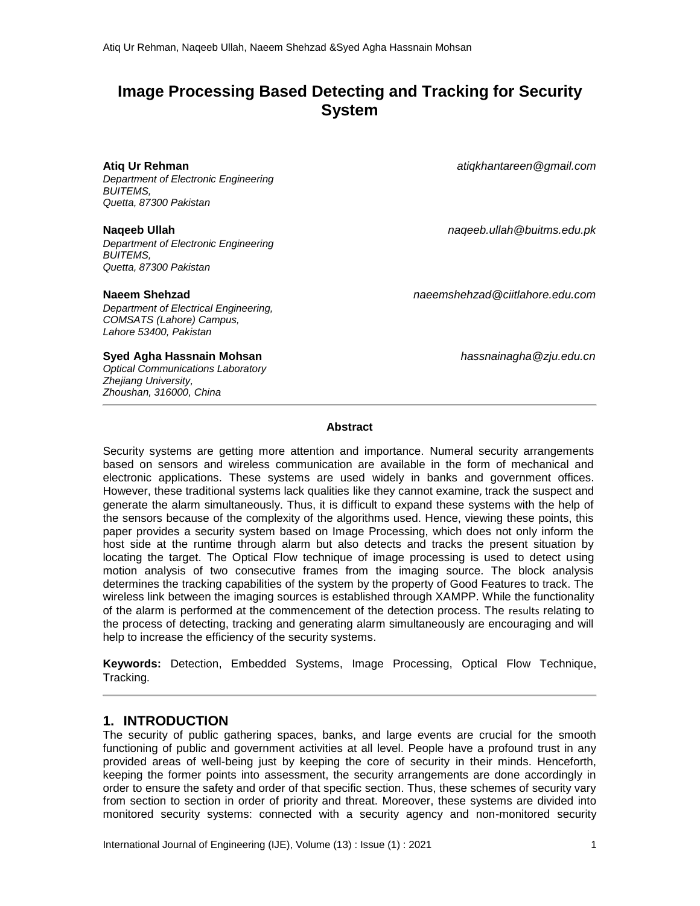# **Image Processing Based Detecting and Tracking for Security System**

#### **Atiq Ur Rehman**

*Department of Electronic Engineering BUITEMS, Quetta, 87300 Pakistan*

*Department of Electronic Engineering BUITEMS, Quetta, 87300 Pakistan*

*Department of Electrical Engineering, COMSATS (Lahore) Campus, Lahore 53400, Pakistan*

**Syed Agha Hassnain Mohsan** *hassnainagha@zju.edu.cn*

*Optical Communications Laboratory Zhejiang University, Zhoushan, 316000, China*

*atiqkhantareen@gmail.com*

**Naqeeb Ullah** *naqeeb.ullah@buitms.edu.pk*

**Naeem Shehzad** *naeemshehzad@ciitlahore.edu.com*

#### **Abstract**

Security systems are getting more attention and importance. Numeral security arrangements based on sensors and wireless communication are available in the form of mechanical and electronic applications. These systems are used widely in banks and government offices. However, these traditional systems lack qualities like they cannot examine, track the suspect and generate the alarm simultaneously. Thus, it is difficult to expand these systems with the help of the sensors because of the complexity of the algorithms used. Hence, viewing these points, this paper provides a security system based on Image Processing, which does not only inform the host side at the runtime through alarm but also detects and tracks the present situation by locating the target. The Optical Flow technique of image processing is used to detect using motion analysis of two consecutive frames from the imaging source. The block analysis determines the tracking capabilities of the system by the property of Good Features to track. The wireless link between the imaging sources is established through XAMPP. While the functionality of the alarm is performed at the commencement of the detection process. The results relating to the process of detecting, tracking and generating alarm simultaneously are encouraging and will help to increase the efficiency of the security systems.

**Keywords:** Detection, Embedded Systems, Image Processing, Optical Flow Technique, Tracking.

## **1. INTRODUCTION**

The security of public gathering spaces, banks, and large events are crucial for the smooth functioning of public and government activities at all level. People have a profound trust in any provided areas of well-being just by keeping the core of security in their minds. Henceforth, keeping the former points into assessment, the security arrangements are done accordingly in order to ensure the safety and order of that specific section. Thus, these schemes of security vary from section to section in order of priority and threat. Moreover, these systems are divided into monitored security systems: connected with a security agency and non-monitored security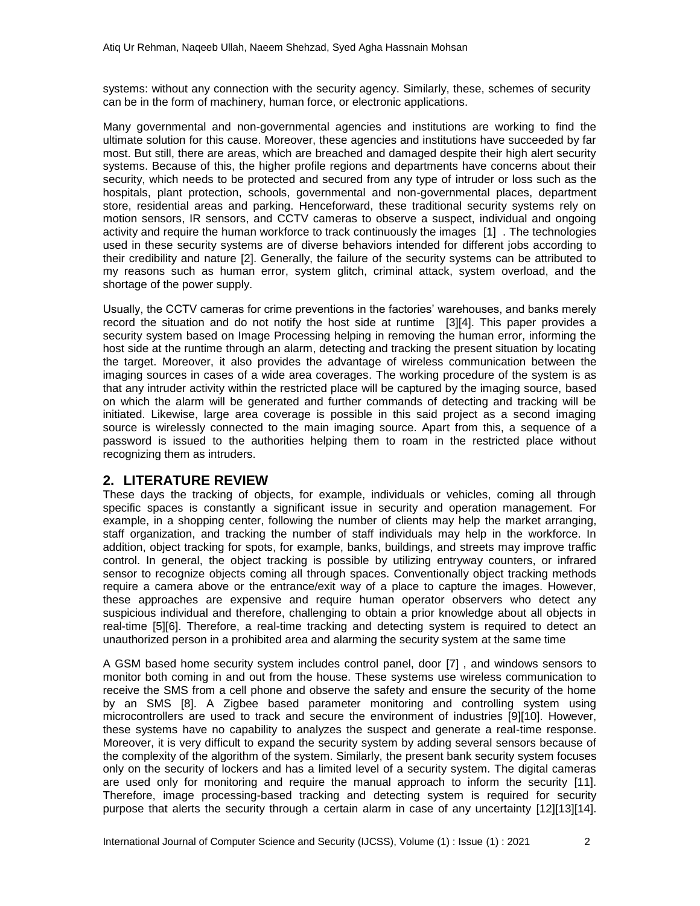systems: without any connection with the security agency. Similarly, these, schemes of security can be in the form of machinery, human force, or electronic applications.

Many governmental and non-governmental agencies and institutions are working to find the ultimate solution for this cause. Moreover, these agencies and institutions have succeeded by far most. But still, there are areas, which are breached and damaged despite their high alert security systems. Because of this, the higher profile regions and departments have concerns about their security, which needs to be protected and secured from any type of intruder or loss such as the hospitals, plant protection, schools, governmental and non-governmental places, department store, residential areas and parking. Henceforward, these traditional security systems rely on motion sensors, IR sensors, and CCTV cameras to observe a suspect, individual and ongoing activity and require the human workforce to track continuously the images [1] . The technologies used in these security systems are of diverse behaviors intended for different jobs according to their credibility and nature [2]. Generally, the failure of the security systems can be attributed to my reasons such as human error, system glitch, criminal attack, system overload, and the shortage of the power supply.

Usually, the CCTV cameras for crime preventions in the factories' warehouses, and banks merely record the situation and do not notify the host side at runtime [3][4]. This paper provides a security system based on Image Processing helping in removing the human error, informing the host side at the runtime through an alarm, detecting and tracking the present situation by locating the target. Moreover, it also provides the advantage of wireless communication between the imaging sources in cases of a wide area coverages. The working procedure of the system is as that any intruder activity within the restricted place will be captured by the imaging source, based on which the alarm will be generated and further commands of detecting and tracking will be initiated. Likewise, large area coverage is possible in this said project as a second imaging source is wirelessly connected to the main imaging source. Apart from this, a sequence of a password is issued to the authorities helping them to roam in the restricted place without recognizing them as intruders.

## **2. LITERATURE REVIEW**

These days the tracking of objects, for example, individuals or vehicles, coming all through specific spaces is constantly a significant issue in security and operation management. For example, in a shopping center, following the number of clients may help the market arranging, staff organization, and tracking the number of staff individuals may help in the workforce. In addition, object tracking for spots, for example, banks, buildings, and streets may improve traffic control. In general, the object tracking is possible by utilizing entryway counters, or infrared sensor to recognize objects coming all through spaces. Conventionally object tracking methods require a camera above or the entrance/exit way of a place to capture the images. However, these approaches are expensive and require human operator observers who detect any suspicious individual and therefore, challenging to obtain a prior knowledge about all objects in real-time [5][6]. Therefore, a real-time tracking and detecting system is required to detect an unauthorized person in a prohibited area and alarming the security system at the same time

A GSM based home security system includes control panel, door [7] , and windows sensors to monitor both coming in and out from the house. These systems use wireless communication to receive the SMS from a cell phone and observe the safety and ensure the security of the home by an SMS [8]. A Zigbee based parameter monitoring and controlling system using microcontrollers are used to track and secure the environment of industries [9][10]. However, these systems have no capability to analyzes the suspect and generate a real-time response. Moreover, it is very difficult to expand the security system by adding several sensors because of the complexity of the algorithm of the system. Similarly, the present bank security system focuses only on the security of lockers and has a limited level of a security system. The digital cameras are used only for monitoring and require the manual approach to inform the security [11]. Therefore, image processing-based tracking and detecting system is required for security purpose that alerts the security through a certain alarm in case of any uncertainty [12][13][14].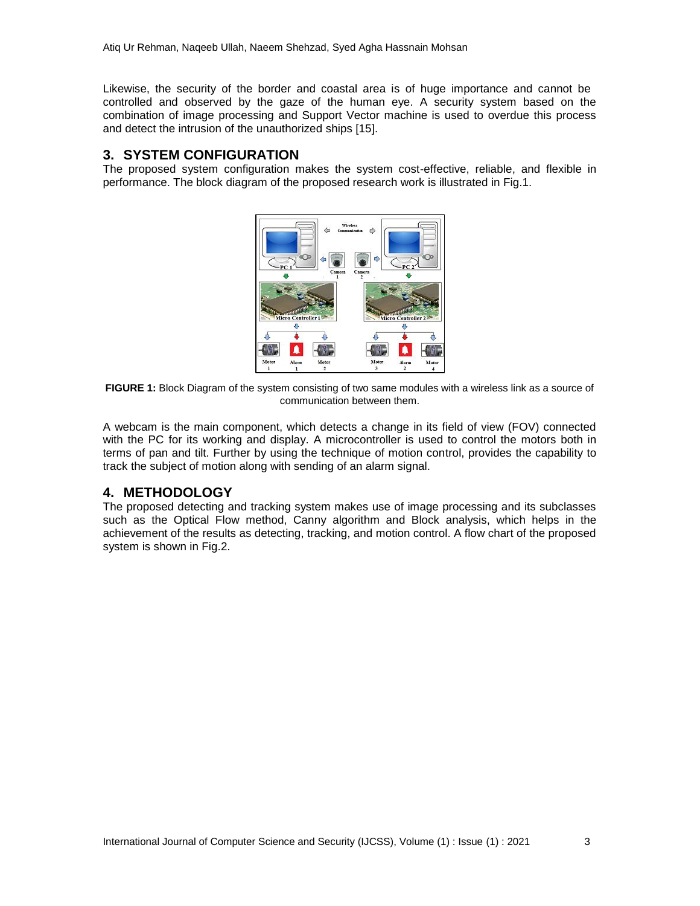Likewise, the security of the border and coastal area is of huge importance and cannot be controlled and observed by the gaze of the human eye. A security system based on the combination of image processing and Support Vector machine is used to overdue this process and detect the intrusion of the unauthorized ships [15].

## **3. SYSTEM CONFIGURATION**

The proposed system configuration makes the system cost-effective, reliable, and flexible in performance. The block diagram of the proposed research work is illustrated in Fig.1.



**FIGURE 1:** Block Diagram of the system consisting of two same modules with a wireless link as a source of communication between them.

A webcam is the main component, which detects a change in its field of view (FOV) connected with the PC for its working and display. A microcontroller is used to control the motors both in terms of pan and tilt. Further by using the technique of motion control, provides the capability to track the subject of motion along with sending of an alarm signal.

## **4. METHODOLOGY**

The proposed detecting and tracking system makes use of image processing and its subclasses such as the Optical Flow method, Canny algorithm and Block analysis, which helps in the achievement of the results as detecting, tracking, and motion control. A flow chart of the proposed system is shown in Fig.2.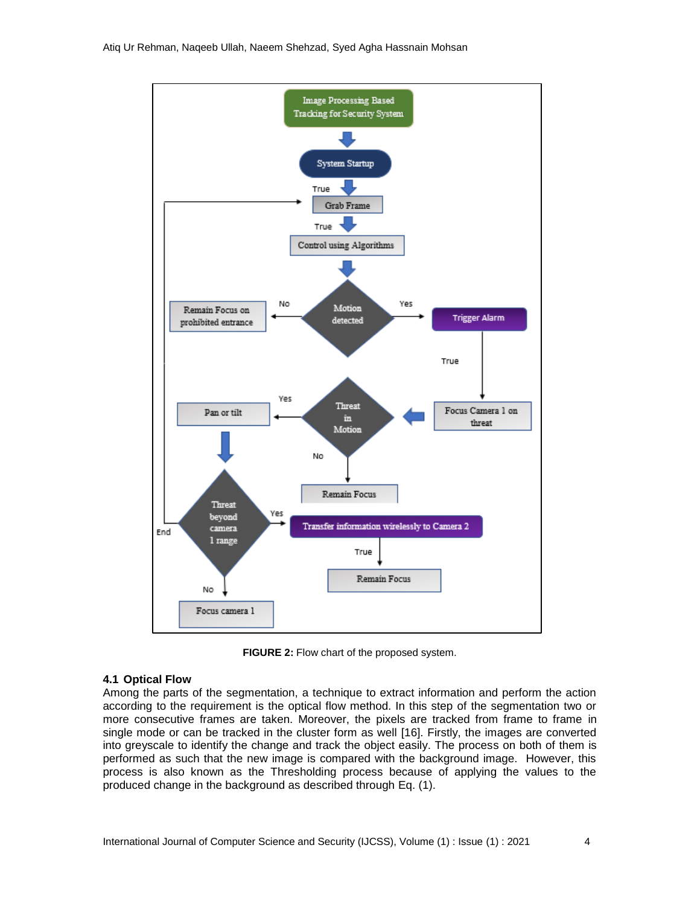

**FIGURE 2:** Flow chart of the proposed system.

#### **4.1 Optical Flow**

Among the parts of the segmentation, a technique to extract information and perform the action according to the requirement is the optical flow method. In this step of the segmentation two or more consecutive frames are taken. Moreover, the pixels are tracked from frame to frame in single mode or can be tracked in the cluster form as well [16]. Firstly, the images are converted into greyscale to identify the change and track the object easily. The process on both of them is performed as such that the new image is compared with the background image. However, this process is also known as the Thresholding process because of applying the values to the produced change in the background as described through Eq. (1).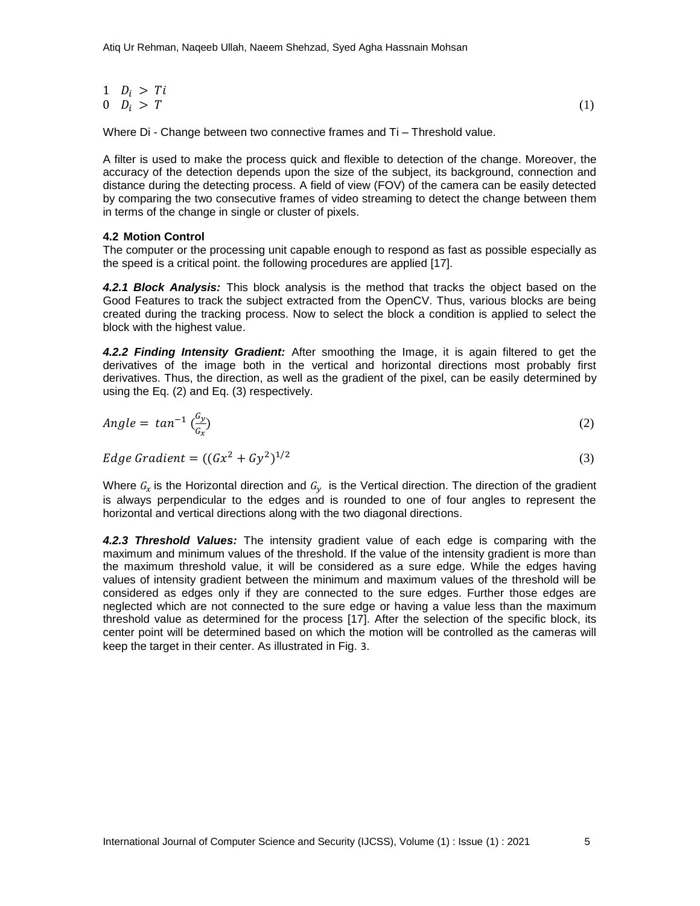$$
\begin{array}{ll}\n1 & D_i > Ti \\
0 & D_i > T\n\end{array}\n\tag{1}
$$

Where Di - Change between two connective frames and Ti – Threshold value.

A filter is used to make the process quick and flexible to detection of the change. Moreover, the accuracy of the detection depends upon the size of the subject, its background, connection and distance during the detecting process. A field of view (FOV) of the camera can be easily detected by comparing the two consecutive frames of video streaming to detect the change between them in terms of the change in single or cluster of pixels.

#### **4.2 Motion Control**

The computer or the processing unit capable enough to respond as fast as possible especially as the speed is a critical point. the following procedures are applied [17].

*4.2.1 Block Analysis:* This block analysis is the method that tracks the object based on the Good Features to track the subject extracted from the OpenCV. Thus, various blocks are being created during the tracking process. Now to select the block a condition is applied to select the block with the highest value.

*4.2.2 Finding Intensity Gradient:* After smoothing the Image, it is again filtered to get the derivatives of the image both in the vertical and horizontal directions most probably first derivatives. Thus, the direction, as well as the gradient of the pixel, can be easily determined by using the Eq. (2) and Eq. (3) respectively.

$$
Angle = \tan^{-1}\left(\frac{G_y}{G_x}\right) \tag{2}
$$

$$
Edge Gradient = ((Gx2 + Gy2)1/2
$$
\n(3)

Where  $G_x$  is the Horizontal direction and  $G_y$  is the Vertical direction. The direction of the gradient is always perpendicular to the edges and is rounded to one of four angles to represent the horizontal and vertical directions along with the two diagonal directions.

*4.2.3 Threshold Values:* The intensity gradient value of each edge is comparing with the maximum and minimum values of the threshold. If the value of the intensity gradient is more than the maximum threshold value, it will be considered as a sure edge. While the edges having values of intensity gradient between the minimum and maximum values of the threshold will be considered as edges only if they are connected to the sure edges. Further those edges are neglected which are not connected to the sure edge or having a value less than the maximum threshold value as determined for the process [17]. After the selection of the specific block, its center point will be determined based on which the motion will be controlled as the cameras will keep the target in their center. As illustrated in Fig. 3.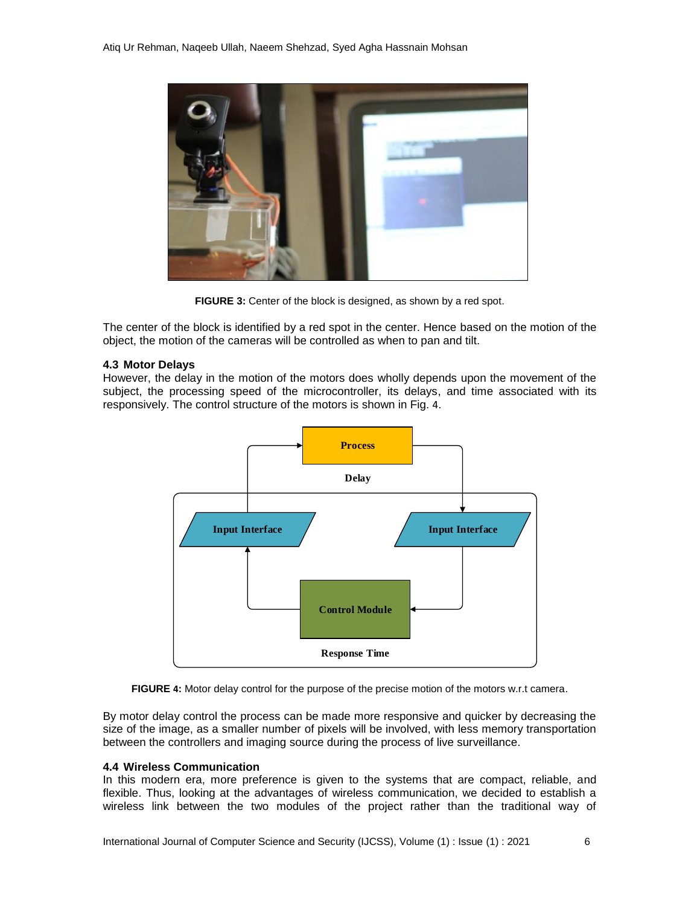

**FIGURE 3:** Center of the block is designed, as shown by a red spot.

The center of the block is identified by a red spot in the center. Hence based on the motion of the object, the motion of the cameras will be controlled as when to pan and tilt.

#### **4.3 Motor Delays**

However, the delay in the motion of the motors does wholly depends upon the movement of the subject, the processing speed of the microcontroller, its delays, and time associated with its responsively. The control structure of the motors is shown in Fig. 4.





By motor delay control the process can be made more responsive and quicker by decreasing the size of the image, as a smaller number of pixels will be involved, with less memory transportation between the controllers and imaging source during the process of live surveillance.

#### **4.4 Wireless Communication**

In this modern era, more preference is given to the systems that are compact, reliable, and flexible. Thus, looking at the advantages of wireless communication, we decided to establish a wireless link between the two modules of the project rather than the traditional way of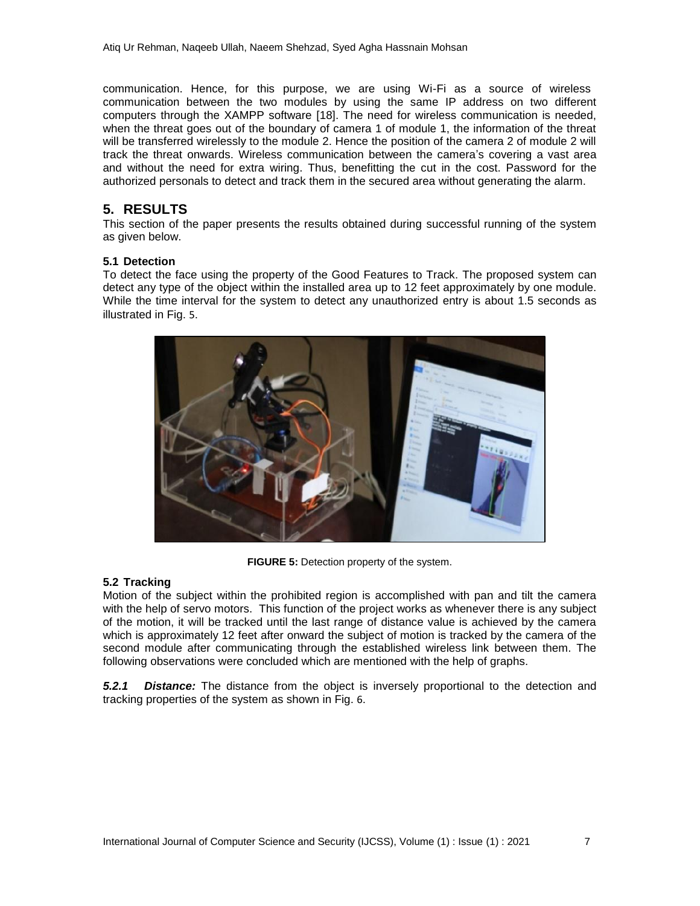communication. Hence, for this purpose, we are using Wi-Fi as a source of wireless communication between the two modules by using the same IP address on two different computers through the XAMPP software [18]. The need for wireless communication is needed, when the threat goes out of the boundary of camera 1 of module 1, the information of the threat will be transferred wirelessly to the module 2. Hence the position of the camera 2 of module 2 will track the threat onwards. Wireless communication between the camera's covering a vast area and without the need for extra wiring. Thus, benefitting the cut in the cost. Password for the authorized personals to detect and track them in the secured area without generating the alarm.

## **5. RESULTS**

This section of the paper presents the results obtained during successful running of the system as given below.

### **5.1 Detection**

To detect the face using the property of the Good Features to Track. The proposed system can detect any type of the object within the installed area up to 12 feet approximately by one module. While the time interval for the system to detect any unauthorized entry is about 1.5 seconds as illustrated in Fig. 5.



**FIGURE 5:** Detection property of the system.

## **5.2 Tracking**

Motion of the subject within the prohibited region is accomplished with pan and tilt the camera with the help of servo motors. This function of the project works as whenever there is any subject of the motion, it will be tracked until the last range of distance value is achieved by the camera which is approximately 12 feet after onward the subject of motion is tracked by the camera of the second module after communicating through the established wireless link between them. The following observations were concluded which are mentioned with the help of graphs.

*5.2.1 Distance:* The distance from the object is inversely proportional to the detection and tracking properties of the system as shown in Fig. 6.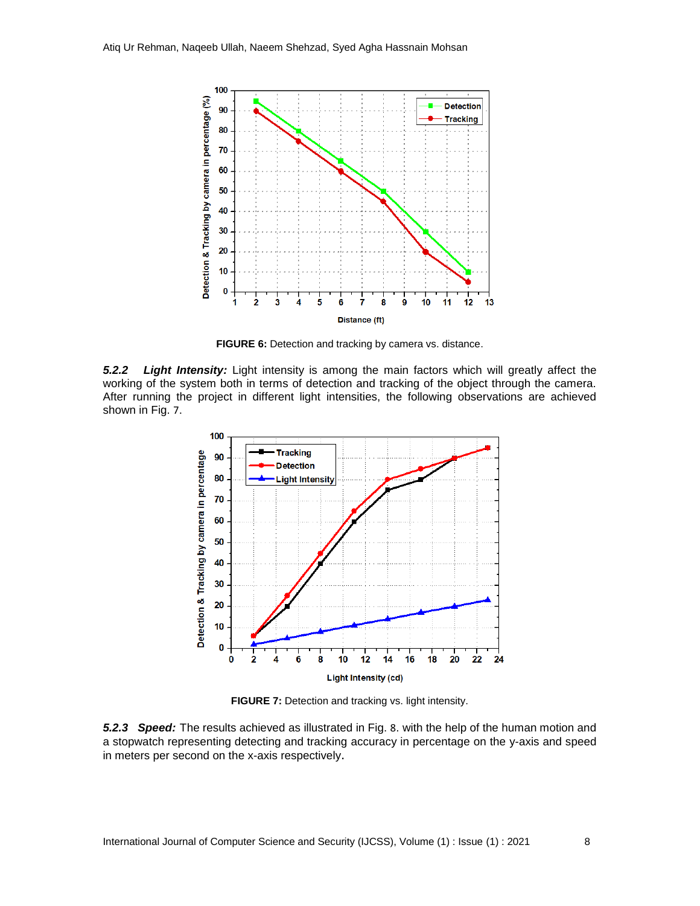

**FIGURE 6:** Detection and tracking by camera vs. distance.

*5.2.2 Light Intensity:* Light intensity is among the main factors which will greatly affect the working of the system both in terms of detection and tracking of the object through the camera. After running the project in different light intensities, the following observations are achieved shown in Fig. 7.



**FIGURE 7:** Detection and tracking vs. light intensity.

*5.2.3 Speed:* The results achieved as illustrated in Fig. 8. with the help of the human motion and a stopwatch representing detecting and tracking accuracy in percentage on the y-axis and speed in meters per second on the x-axis respectively.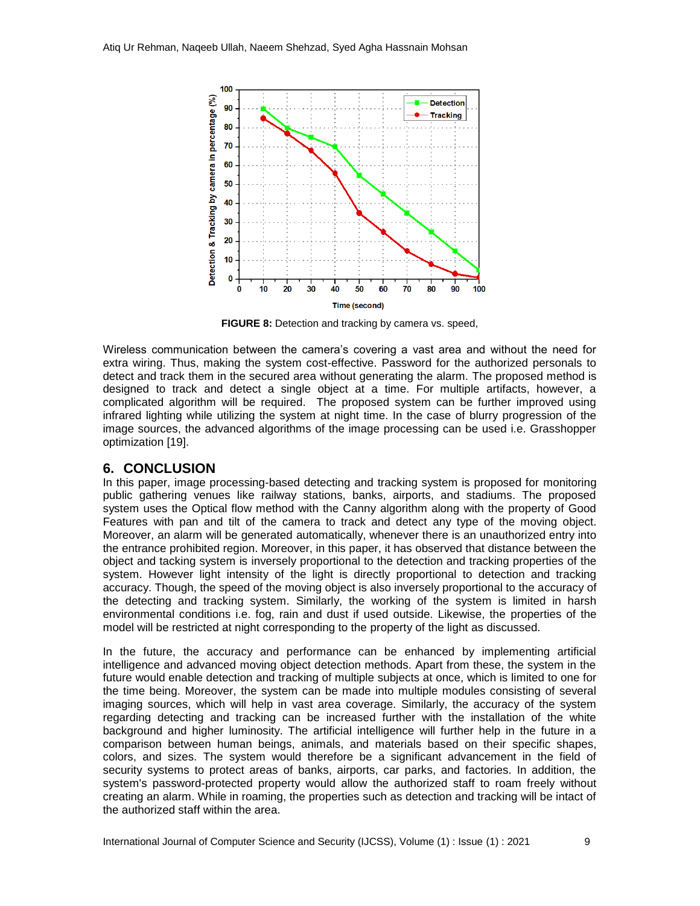

**FIGURE 8:** Detection and tracking by camera vs. speed,

Wireless communication between the camera's covering a vast area and without the need for extra wiring. Thus, making the system cost-effective. Password for the authorized personals to detect and track them in the secured area without generating the alarm. The proposed method is designed to track and detect a single object at a time. For multiple artifacts, however, a complicated algorithm will be required. The proposed system can be further improved using infrared lighting while utilizing the system at night time. In the case of blurry progression of the image sources, the advanced algorithms of the image processing can be used i.e. Grasshopper optimization [19].

## **6. CONCLUSION**

In this paper, image processing-based detecting and tracking system is proposed for monitoring public gathering venues like railway stations, banks, airports, and stadiums. The proposed system uses the Optical flow method with the Canny algorithm along with the property of Good Features with pan and tilt of the camera to track and detect any type of the moving object. Moreover, an alarm will be generated automatically, whenever there is an unauthorized entry into the entrance prohibited region. Moreover, in this paper, it has observed that distance between the object and tacking system is inversely proportional to the detection and tracking properties of the system. However light intensity of the light is directly proportional to detection and tracking accuracy. Though, the speed of the moving object is also inversely proportional to the accuracy of the detecting and tracking system. Similarly, the working of the system is limited in harsh environmental conditions i.e. fog, rain and dust if used outside. Likewise, the properties of the model will be restricted at night corresponding to the property of the light as discussed.

In the future, the accuracy and performance can be enhanced by implementing artificial intelligence and advanced moving object detection methods. Apart from these, the system in the future would enable detection and tracking of multiple subjects at once, which is limited to one for the time being. Moreover, the system can be made into multiple modules consisting of several imaging sources, which will help in vast area coverage. Similarly, the accuracy of the system regarding detecting and tracking can be increased further with the installation of the white background and higher luminosity. The artificial intelligence will further help in the future in a comparison between human beings, animals, and materials based on their specific shapes, colors, and sizes. The system would therefore be a significant advancement in the field of security systems to protect areas of banks, airports, car parks, and factories. In addition, the system's password-protected property would allow the authorized staff to roam freely without creating an alarm. While in roaming, the properties such as detection and tracking will be intact of the authorized staff within the area.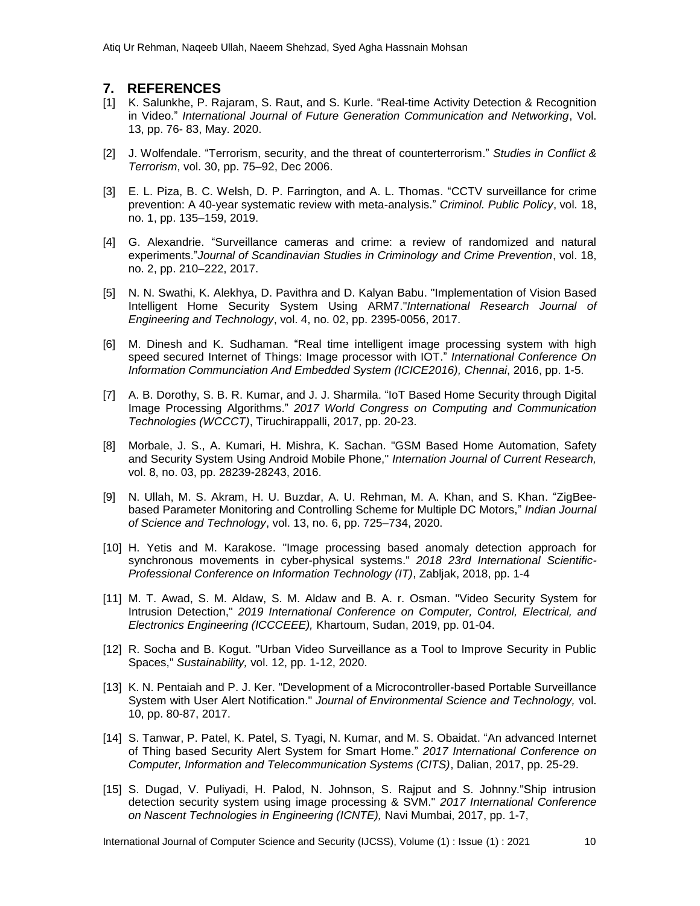### **7. REFERENCES**

- [1] K. Salunkhe, P. Rajaram, S. Raut, and S. Kurle. "Real-time Activity Detection & Recognition in Video." *International Journal of Future Generation Communication and Networking*, Vol. 13, pp. 76- 83, May. 2020.
- [2] J. Wolfendale. "Terrorism, security, and the threat of counterterrorism." *Studies in Conflict & Terrorism*, vol. 30, pp. 75–92, Dec 2006.
- [3] E. L. Piza, B. C. Welsh, D. P. Farrington, and A. L. Thomas. "CCTV surveillance for crime prevention: A 40-year systematic review with meta-analysis." *Criminol. Public Policy*, vol. 18, no. 1, pp. 135–159, 2019.
- [4] G. Alexandrie. "Surveillance cameras and crime: a review of randomized and natural experiments."*Journal of Scandinavian Studies in Criminology and Crime Prevention*, vol. 18, no. 2, pp. 210–222, 2017.
- [5] N. N. Swathi, K. Alekhya, D. Pavithra and D. Kalyan Babu. "Implementation of Vision Based Intelligent Home Security System Using ARM7."*International Research Journal of Engineering and Technology*, vol. 4, no. 02, pp. 2395-0056, 2017.
- [6] M. Dinesh and K. Sudhaman. "Real time intelligent image processing system with high speed secured Internet of Things: Image processor with IOT." *International Conference On Information Communciation And Embedded System (ICICE2016), Chennai*, 2016, pp. 1-5.
- [7] A. B. Dorothy, S. B. R. Kumar, and J. J. Sharmila. "IoT Based Home Security through Digital Image Processing Algorithms." *2017 World Congress on Computing and Communication Technologies (WCCCT)*, Tiruchirappalli, 2017, pp. 20-23.
- [8] Morbale, J. S., A. Kumari, H. Mishra, K. Sachan. "GSM Based Home Automation, Safety and Security System Using Android Mobile Phone," *Internation Journal of Current Research,*  vol. 8, no. 03, pp. 28239-28243, 2016.
- [9] N. Ullah, M. S. Akram, H. U. Buzdar, A. U. Rehman, M. A. Khan, and S. Khan. "ZigBeebased Parameter Monitoring and Controlling Scheme for Multiple DC Motors," *Indian Journal of Science and Technology*, vol. 13, no. 6, pp. 725–734, 2020.
- [10] H. Yetis and M. Karakose. "Image processing based anomaly detection approach for synchronous movements in cyber-physical systems." *2018 23rd International Scientific-Professional Conference on Information Technology (IT)*, Zabljak, 2018, pp. 1-4
- [11] M. T. Awad, S. M. Aldaw, S. M. Aldaw and B. A. r. Osman. "Video Security System for Intrusion Detection," *2019 International Conference on Computer, Control, Electrical, and Electronics Engineering (ICCCEEE),* Khartoum, Sudan, 2019, pp. 01-04.
- [12] R. Socha and B. Kogut. "Urban Video Surveillance as a Tool to Improve Security in Public Spaces," *Sustainability,* vol. 12, pp. 1-12, 2020.
- [13] K. N. Pentaiah and P. J. Ker. "Development of a Microcontroller-based Portable Surveillance System with User Alert Notification." *Journal of Environmental Science and Technology,* vol. 10, pp. 80-87, 2017.
- [14] S. Tanwar, P. Patel, K. Patel, S. Tyagi, N. Kumar, and M. S. Obaidat. "An advanced Internet of Thing based Security Alert System for Smart Home." *2017 International Conference on Computer, Information and Telecommunication Systems (CITS)*, Dalian, 2017, pp. 25-29.
- [15] S. Dugad, V. Puliyadi, H. Palod, N. Johnson, S. Rajput and S. Johnny."Ship intrusion detection security system using image processing & SVM." *2017 International Conference on Nascent Technologies in Engineering (ICNTE),* Navi Mumbai, 2017, pp. 1-7,

International Journal of Computer Science and Security (IJCSS), Volume (1) : Issue (1) : 2021 10